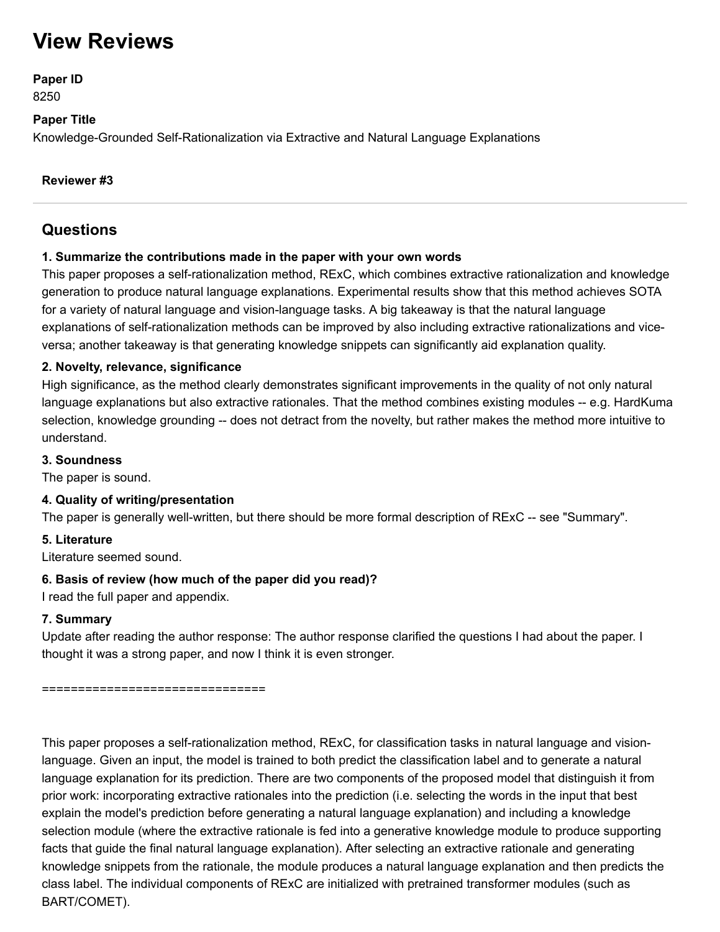# **View Reviews**

# **Paper ID**

8250

## **Paper Title**

Knowledge-Grounded Self-Rationalization via Extractive and Natural Language Explanations

## **Reviewer #3**

# **Questions**

## **1. Summarize the contributions made in the paper with your own words**

This paper proposes a self-rationalization method, RExC, which combines extractive rationalization and knowledge generation to produce natural language explanations. Experimental results show that this method achieves SOTA for a variety of natural language and vision-language tasks. A big takeaway is that the natural language explanations of self-rationalization methods can be improved by also including extractive rationalizations and viceversa; another takeaway is that generating knowledge snippets can significantly aid explanation quality.

## **2. Novelty, relevance, significance**

High significance, as the method clearly demonstrates significant improvements in the quality of not only natural language explanations but also extractive rationales. That the method combines existing modules -- e.g. HardKuma selection, knowledge grounding -- does not detract from the novelty, but rather makes the method more intuitive to understand.

## **3. Soundness**

The paper is sound.

## **4. Quality of writing/presentation**

The paper is generally well-written, but there should be more formal description of RExC -- see "Summary".

## **5. Literature**

Literature seemed sound.

## **6. Basis of review (how much of the paper did you read)?**

I read the full paper and appendix.

# **7. Summary**

Update after reading the author response: The author response clarified the questions I had about the paper. I thought it was a strong paper, and now I think it is even stronger.

=====================================

This paper proposes a self-rationalization method, RExC, for classification tasks in natural language and visionlanguage. Given an input, the model is trained to both predict the classification label and to generate a natural language explanation for its prediction. There are two components of the proposed model that distinguish it from prior work: incorporating extractive rationales into the prediction (i.e. selecting the words in the input that best explain the model's prediction before generating a natural language explanation) and including a knowledge selection module (where the extractive rationale is fed into a generative knowledge module to produce supporting facts that guide the final natural language explanation). After selecting an extractive rationale and generating knowledge snippets from the rationale, the module produces a natural language explanation and then predicts the class label. The individual components of RExC are initialized with pretrained transformer modules (such as BART/COMET).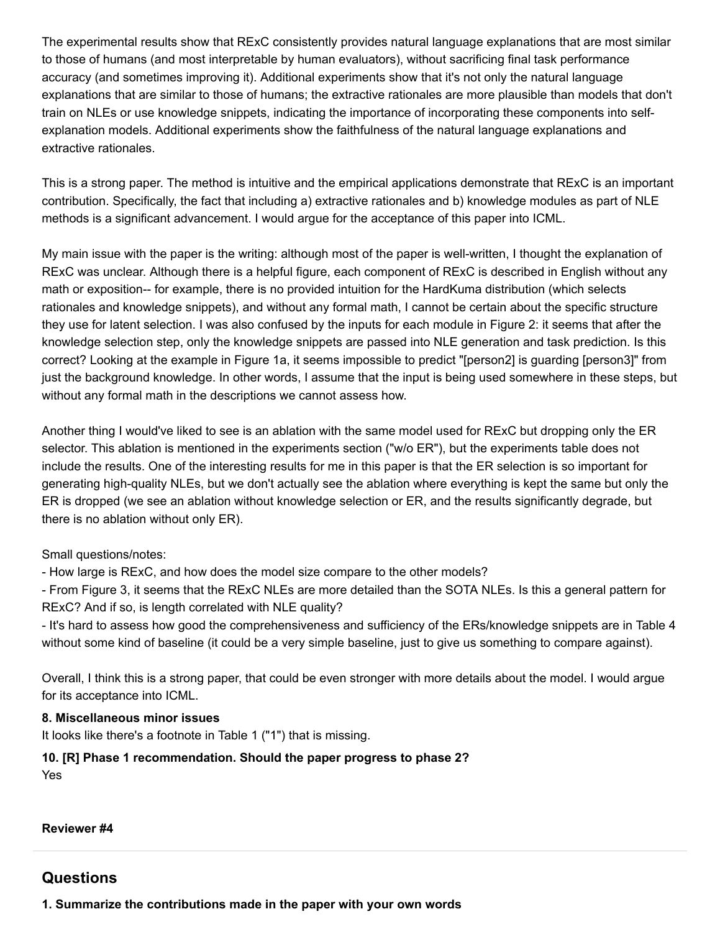The experimental results show that RExC consistently provides natural language explanations that are most similar to those of humans (and most interpretable by human evaluators), without sacrificing final task performance accuracy (and sometimes improving it). Additional experiments show that it's not only the natural language explanations that are similar to those of humans; the extractive rationales are more plausible than models that don't train on NLEs or use knowledge snippets, indicating the importance of incorporating these components into selfexplanation models. Additional experiments show the faithfulness of the natural language explanations and extractive rationales.

This is a strong paper. The method is intuitive and the empirical applications demonstrate that RExC is an important contribution. Specifically, the fact that including a) extractive rationales and b) knowledge modules as part of NLE methods is a significant advancement. I would argue for the acceptance of this paper into ICML.

My main issue with the paper is the writing: although most of the paper is well-written, I thought the explanation of RExC was unclear. Although there is a helpful figure, each component of RExC is described in English without any math or exposition-- for example, there is no provided intuition for the HardKuma distribution (which selects rationales and knowledge snippets), and without any formal math, I cannot be certain about the specific structure they use for latent selection. I was also confused by the inputs for each module in Figure 2: it seems that after the knowledge selection step, only the knowledge snippets are passed into NLE generation and task prediction. Is this correct? Looking at the example in Figure 1a, it seems impossible to predict "[person2] is guarding [person3]" from just the background knowledge. In other words, I assume that the input is being used somewhere in these steps, but without any formal math in the descriptions we cannot assess how.

Another thing I would've liked to see is an ablation with the same model used for RExC but dropping only the ER selector. This ablation is mentioned in the experiments section ("w/o ER"), but the experiments table does not include the results. One of the interesting results for me in this paper is that the ER selection is so important for generating high-quality NLEs, but we don't actually see the ablation where everything is kept the same but only the ER is dropped (we see an ablation without knowledge selection or ER, and the results significantly degrade, but there is no ablation without only ER).

Small questions/notes:

- How large is RExC, and how does the model size compare to the other models?

- From Figure 3, it seems that the RExC NLEs are more detailed than the SOTA NLEs. Is this a general pattern for RExC? And if so, is length correlated with NLE quality?

- It's hard to assess how good the comprehensiveness and sufficiency of the ERs/knowledge snippets are in Table 4 without some kind of baseline (it could be a very simple baseline, just to give us something to compare against).

Overall, I think this is a strong paper, that could be even stronger with more details about the model. I would argue for its acceptance into ICML.

#### **8. Miscellaneous minor issues**

It looks like there's a footnote in Table 1 ("1") that is missing.

# **10. [R] Phase 1 recommendation. Should the paper progress to phase 2?**

Yes

**Reviewer #4**

# **Questions**

**1. Summarize the contributions made in the paper with your own words**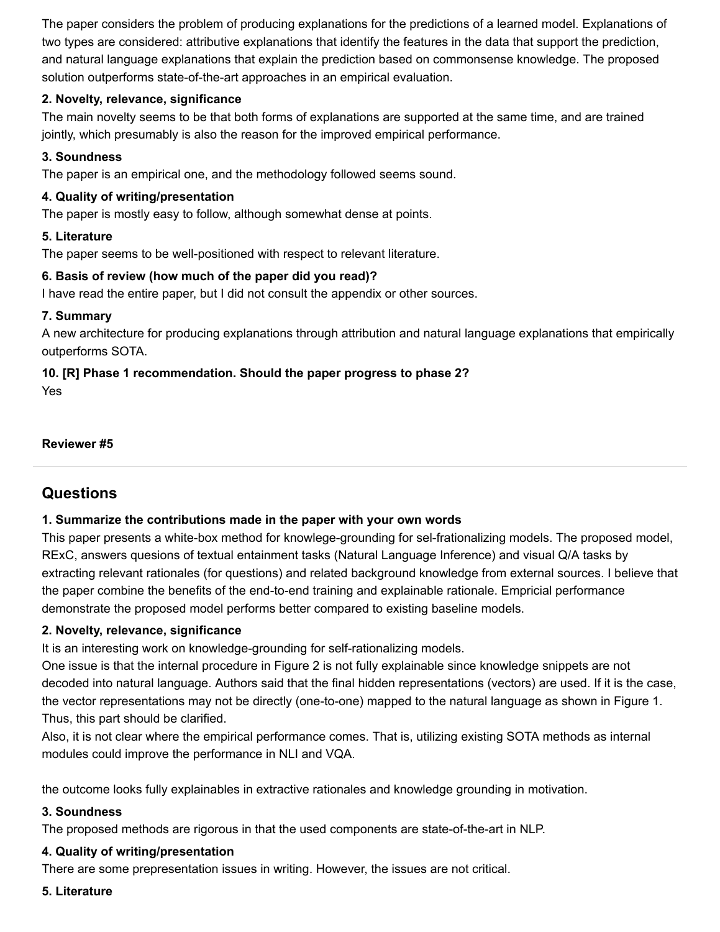The paper considers the problem of producing explanations for the predictions of a learned model. Explanations of two types are considered: attributive explanations that identify the features in the data that support the prediction, and natural language explanations that explain the prediction based on commonsense knowledge. The proposed solution outperforms state-of-the-art approaches in an empirical evaluation.

#### **2. Novelty, relevance, significance**

The main novelty seems to be that both forms of explanations are supported at the same time, and are trained jointly, which presumably is also the reason for the improved empirical performance.

## **3. Soundness**

The paper is an empirical one, and the methodology followed seems sound.

## **4. Quality of writing/presentation**

The paper is mostly easy to follow, although somewhat dense at points.

## **5. Literature**

The paper seems to be well-positioned with respect to relevant literature.

## **6. Basis of review (how much of the paper did you read)?**

I have read the entire paper, but I did not consult the appendix or other sources.

## **7. Summary**

A new architecture for producing explanations through attribution and natural language explanations that empirically outperforms SOTA.

# **10. [R] Phase 1 recommendation. Should the paper progress to phase 2?**

Yes

#### **Reviewer #5**

# **Questions**

## **1. Summarize the contributions made in the paper with your own words**

This paper presents a white-box method for knowlege-grounding for sel-frationalizing models. The proposed model, RExC, answers quesions of textual entainment tasks (Natural Language Inference) and visual Q/A tasks by extracting relevant rationales (for questions) and related background knowledge from external sources. I believe that the paper combine the benefits of the end-to-end training and explainable rationale. Empricial performance demonstrate the proposed model performs better compared to existing baseline models.

#### **2. Novelty, relevance, significance**

It is an interesting work on knowledge-grounding for self-rationalizing models.

One issue is that the internal procedure in Figure 2 is not fully explainable since knowledge snippets are not decoded into natural language. Authors said that the final hidden representations (vectors) are used. If it is the case, the vector representations may not be directly (one-to-one) mapped to the natural language as shown in Figure 1. Thus, this part should be clarified.

Also, it is not clear where the empirical performance comes. That is, utilizing existing SOTA methods as internal modules could improve the performance in NLI and VQA.

the outcome looks fully explainables in extractive rationales and knowledge grounding in motivation.

#### **3. Soundness**

The proposed methods are rigorous in that the used components are state-of-the-art in NLP.

#### **4. Quality of writing/presentation**

There are some prepresentation issues in writing. However, the issues are not critical.

#### **5. Literature**